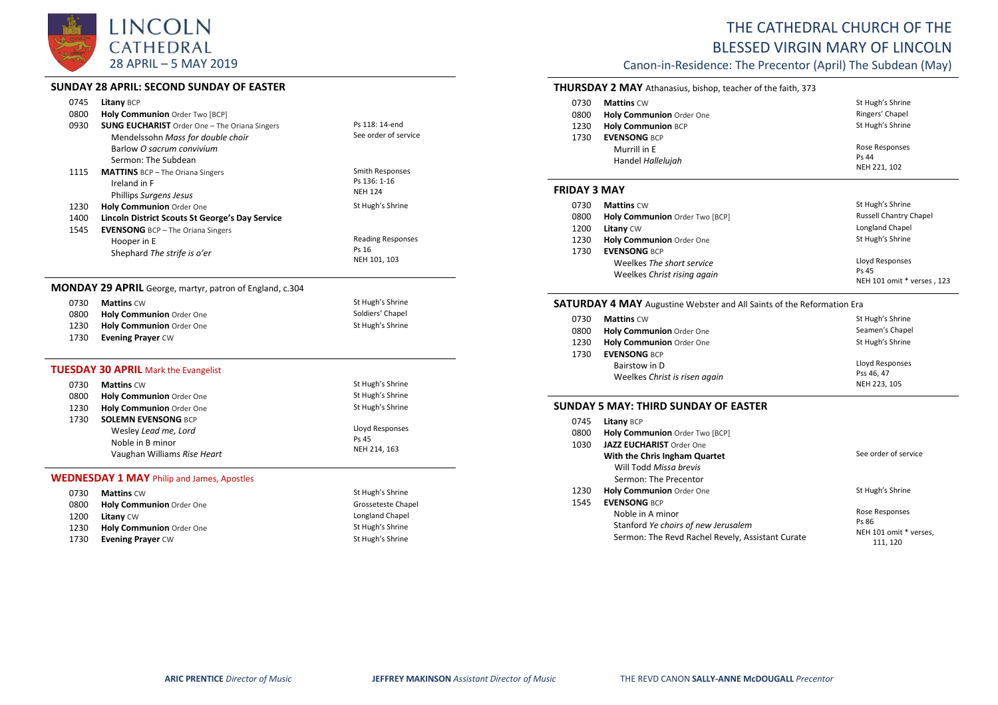

# **SUNDAY 28 APRIL: SECOND SUNDAY OF EASTER**

|      | SUNDAT ZU AF INE. SECUND SUNDAT UT EASTEN                       |                          |
|------|-----------------------------------------------------------------|--------------------------|
| 0745 | <b>Litany BCP</b>                                               |                          |
| 0800 | Holy Communion Order Two [BCP]                                  |                          |
| 0930 | <b>SUNG EUCHARIST</b> Order One - The Oriana Singers            | Ps 118: 14-end           |
|      | Mendelssohn Mass for double choir                               | See order of service     |
|      | Barlow O sacrum convivium                                       |                          |
|      | Sermon: The Subdean                                             |                          |
| 1115 | <b>MATTINS</b> BCP - The Oriana Singers                         | <b>Smith Responses</b>   |
|      | Ireland in F                                                    | Ps 136: 1-16             |
|      | Phillips Surgens Jesus                                          | <b>NEH 124</b>           |
| 1230 | Holy Communion Order One                                        | St Hugh's Shrine         |
| 1400 | Lincoln District Scouts St George's Day Service                 |                          |
| 1545 | <b>EVENSONG</b> BCP - The Oriana Singers                        |                          |
|      | Hooper in E                                                     | <b>Reading Responses</b> |
|      | Shephard The strife is o'er                                     | Ps 16<br>NEH 101, 103    |
|      |                                                                 |                          |
|      | <b>MONDAY 29 APRIL</b> George, martyr, patron of England, c.304 |                          |
| 0730 | <b>Mattins CW</b>                                               | St Hugh's Shrine         |
| 0800 | Holy Communion Order One                                        | Soldiers' Chapel         |
| 1230 | Holy Communion Order One                                        | St Hugh's Shrine         |
| 1730 | <b>Evening Prayer CW</b>                                        |                          |
|      |                                                                 |                          |
|      | <b>TUESDAY 30 APRIL Mark the Evangelist</b>                     |                          |
| 0730 | <b>Mattins CW</b>                                               | St Hugh's Shrine         |
| 0800 | Holy Communion Order One                                        | St Hugh's Shrine         |
| 1230 | Holy Communion Order One                                        | St Hugh's Shrine         |
| 1730 | <b>SOLEMN EVENSONG BCP</b>                                      |                          |
|      | Wesley Lead me, Lord                                            | Lloyd Responses          |
|      | Noble in B minor                                                | Ps 45                    |
|      | Vaughan Williams Rise Heart                                     | NEH 214, 163             |
|      |                                                                 |                          |

## **WEDNESDAY 1 MAY** Philip and James, Apostles

| 0730 | <b>Mattins CW</b>               | St Hugh's Shrine   |
|------|---------------------------------|--------------------|
| 0800 | <b>Holy Communion Order One</b> | Grosseteste Chapel |
| 1200 | <b>Litany CW</b>                | Longland Chapel    |
| 1230 | Holy Communion Order One        | St Hugh's Shrine   |
| 1730 | <b>Evening Prayer CW</b>        | St Hugh's Shrine   |

# THE CATHEDRAL CHURCH OF THE BLESSED VIRGIN MARY OF LINCOLN

Canon-in-Residence: The Precentor (April) The Subdean (May)

|                   | <b>THURSDAY 2 MAY</b> Athanasius, bishop, teacher of the faith, 373 |                  |
|-------------------|---------------------------------------------------------------------|------------------|
| 0730              | <b>Mattins CW</b>                                                   | St Hugh's Shrine |
| 0800              | <b>Holy Communion Order One</b>                                     | Ringers' Chapel  |
| 1230              | <b>Holy Communion BCP</b>                                           | St Hugh's Shrine |
| 1730              | <b>EVENSONG BCP</b>                                                 |                  |
|                   | Murrill in E                                                        | Rose Responses   |
| Handel Hallelujah | Ps 44                                                               |                  |
|                   |                                                                     | NEH 221, 102     |

#### **FRIDAY 3 MAY**

| 0730 | <b>Mattins CW</b>               | St Hugh's Shrine              |
|------|---------------------------------|-------------------------------|
| 0800 | Holy Communion Order Two [BCP]  | <b>Russell Chantry Chapel</b> |
| 1200 | Litany CW                       | Longland Chapel               |
| 1230 | <b>Holy Communion Order One</b> | St Hugh's Shrine              |
| 1730 | <b>EVENSONG BCP</b>             |                               |
|      | Weelkes The short service       | Lloyd Responses               |
|      | Weelkes Christ rising again     | Ps 45                         |
|      |                                 | NEH 101 omit * verses, 123    |

#### **SATURDAY 4 MAY** Augustine Webster and All Saints of the Reformation Era

| 0730 | <b>Mattins CW</b>                              | St Hugh's Shrine                              |
|------|------------------------------------------------|-----------------------------------------------|
| 0800 | Holy Communion Order One                       | Seamen's Chapel                               |
| 1230 | Holy Communion Order One                       | St Hugh's Shrine                              |
| 1730 | <b>EVENSONG BCP</b>                            |                                               |
|      | Bairstow in D<br>Weelkes Christ is risen again | Lloyd Responses<br>Pss 46, 47<br>NEH 223, 105 |

#### **SUNDAY 5 MAY: THIRD SUNDAY OF EASTER**

| 0745 | Litany BCP                                                                              |                       |
|------|-----------------------------------------------------------------------------------------|-----------------------|
| 0800 | Holy Communion Order Two [BCP]                                                          |                       |
| 1030 | <b>JAZZ EUCHARIST Order One</b>                                                         |                       |
|      | With the Chris Ingham Quartet                                                           | See order of service  |
|      | Will Todd Missa brevis                                                                  |                       |
|      | Sermon: The Precentor                                                                   |                       |
| 1230 | <b>Holy Communion Order One</b>                                                         | St Hugh's Shrine      |
| 1545 | <b>EVENSONG BCP</b>                                                                     |                       |
|      | Noble in A minor                                                                        | Rose Responses        |
|      | Stanford Ye choirs of new Jerusalem<br>Sermon: The Revd Rachel Revely, Assistant Curate | Ps 86                 |
|      |                                                                                         | NEH 101 omit * verses |
|      |                                                                                         | 111, 120              |